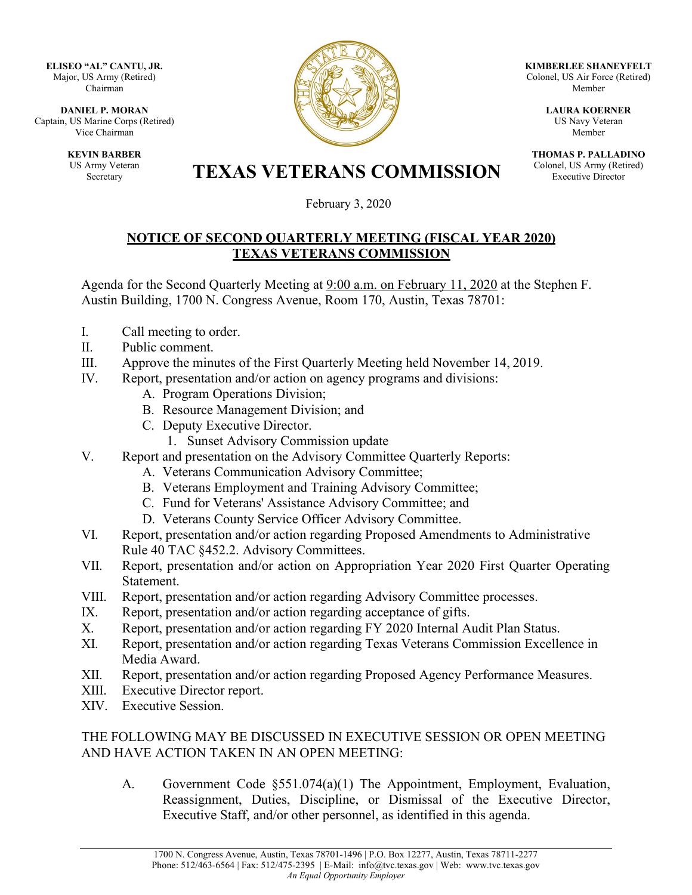**ELISEO "AL" CANTU, JR.** Major, US Army (Retired) Chairman

**DANIEL P. MORAN** Captain, US Marine Corps (Retired) Vice Chairman

> **KEVIN BARBER** US Army Veteran



**KIMBERLEE SHANEYFELT** Colonel, US Air Force (Retired) Member

> **LAURA KOERNER** US Navy Veteran Member

**THOMAS P. PALLADINO** Colonel, US Army (Retired) Executive Director

Army Veteran<br>Secretary **TEXAS VETERANS COMMISSION** 

February 3, 2020

## **NOTICE OF SECOND QUARTERLY MEETING (FISCAL YEAR 2020) TEXAS VETERANS COMMISSION**

Agenda for the Second Quarterly Meeting at 9:00 a.m. on February 11, 2020 at the Stephen F. Austin Building, 1700 N. Congress Avenue, Room 170, Austin, Texas 78701:

- I. Call meeting to order.
- II. Public comment.
- III. Approve the minutes of the First Quarterly Meeting held November 14, 2019.
- IV. Report, presentation and/or action on agency programs and divisions:
	- A. Program Operations Division;
	- B. Resource Management Division; and
	- C. Deputy Executive Director.
		- 1. Sunset Advisory Commission update
- V. Report and presentation on the Advisory Committee Quarterly Reports:
	- A. Veterans Communication Advisory Committee;
	- B. Veterans Employment and Training Advisory Committee;
	- C. Fund for Veterans' Assistance Advisory Committee; and
	- D. Veterans County Service Officer Advisory Committee.
- VI. Report, presentation and/or action regarding Proposed Amendments to Administrative Rule 40 TAC §452.2. Advisory Committees.
- VII. Report, presentation and/or action on Appropriation Year 2020 First Quarter Operating Statement.
- VIII. Report, presentation and/or action regarding Advisory Committee processes.
- IX. Report, presentation and/or action regarding acceptance of gifts.
- X. Report, presentation and/or action regarding FY 2020 Internal Audit Plan Status.
- XI. Report, presentation and/or action regarding Texas Veterans Commission Excellence in Media Award.
- XII. Report, presentation and/or action regarding Proposed Agency Performance Measures.
- XIII. Executive Director report.
- XIV. Executive Session.

## THE FOLLOWING MAY BE DISCUSSED IN EXECUTIVE SESSION OR OPEN MEETING AND HAVE ACTION TAKEN IN AN OPEN MEETING:

A. Government Code §551.074(a)(1) The Appointment, Employment, Evaluation, Reassignment, Duties, Discipline, or Dismissal of the Executive Director, Executive Staff, and/or other personnel, as identified in this agenda.